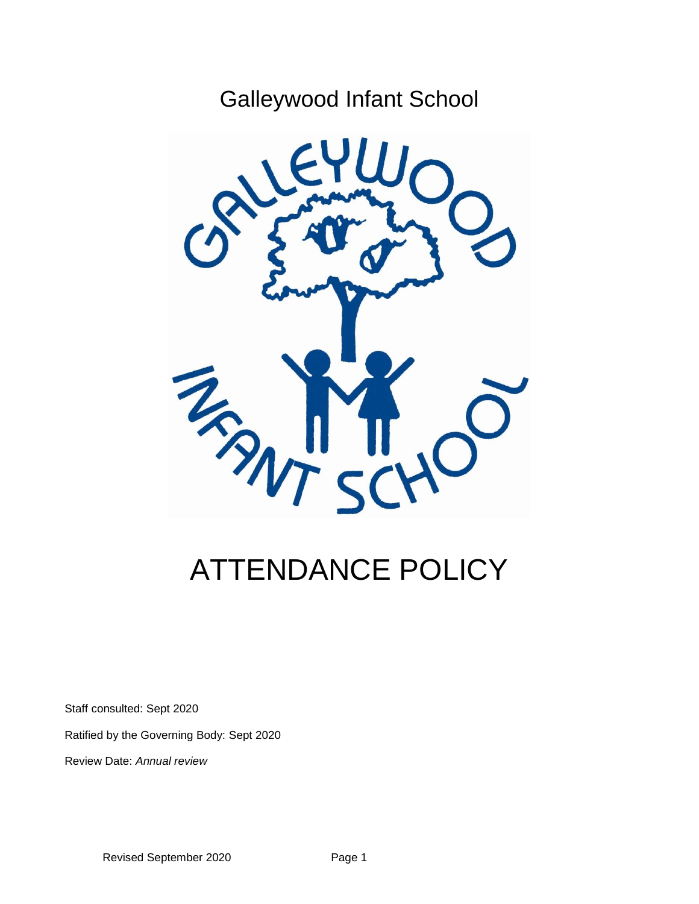## Galleywood Infant School



# ATTENDANCE POLICY

Staff consulted: Sept 2020

Ratified by the Governing Body: Sept 2020

Review Date: *Annual review*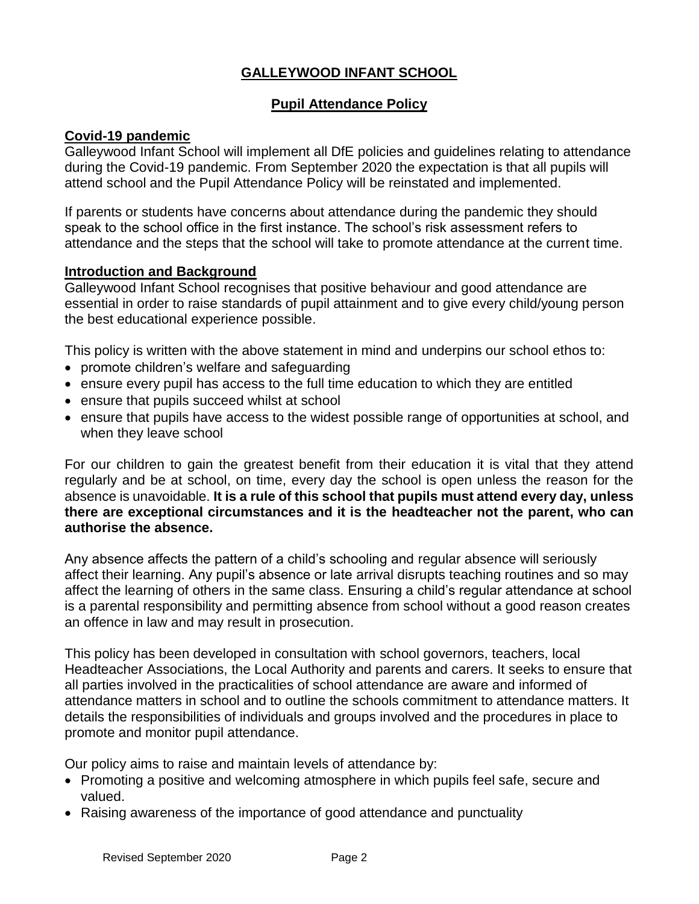## **GALLEYWOOD INFANT SCHOOL**

#### **Pupil Attendance Policy**

#### **Covid-19 pandemic**

Galleywood Infant School will implement all DfE policies and guidelines relating to attendance during the Covid-19 pandemic. From September 2020 the expectation is that all pupils will attend school and the Pupil Attendance Policy will be reinstated and implemented.

If parents or students have concerns about attendance during the pandemic they should speak to the school office in the first instance. The school's risk assessment refers to attendance and the steps that the school will take to promote attendance at the current time.

#### **Introduction and Background**

Galleywood Infant School recognises that positive behaviour and good attendance are essential in order to raise standards of pupil attainment and to give every child/young person the best educational experience possible.

This policy is written with the above statement in mind and underpins our school ethos to:

- promote children's welfare and safeguarding
- ensure every pupil has access to the full time education to which they are entitled
- ensure that pupils succeed whilst at school
- ensure that pupils have access to the widest possible range of opportunities at school, and when they leave school

For our children to gain the greatest benefit from their education it is vital that they attend regularly and be at school, on time, every day the school is open unless the reason for the absence is unavoidable. **It is a rule of this school that pupils must attend every day, unless there are exceptional circumstances and it is the headteacher not the parent, who can authorise the absence.**

Any absence affects the pattern of a child's schooling and regular absence will seriously affect their learning. Any pupil's absence or late arrival disrupts teaching routines and so may affect the learning of others in the same class. Ensuring a child's regular attendance at school is a parental responsibility and permitting absence from school without a good reason creates an offence in law and may result in prosecution.

This policy has been developed in consultation with school governors, teachers, local Headteacher Associations, the Local Authority and parents and carers. It seeks to ensure that all parties involved in the practicalities of school attendance are aware and informed of attendance matters in school and to outline the schools commitment to attendance matters. It details the responsibilities of individuals and groups involved and the procedures in place to promote and monitor pupil attendance.

Our policy aims to raise and maintain levels of attendance by:

- Promoting a positive and welcoming atmosphere in which pupils feel safe, secure and valued.
- Raising awareness of the importance of good attendance and punctuality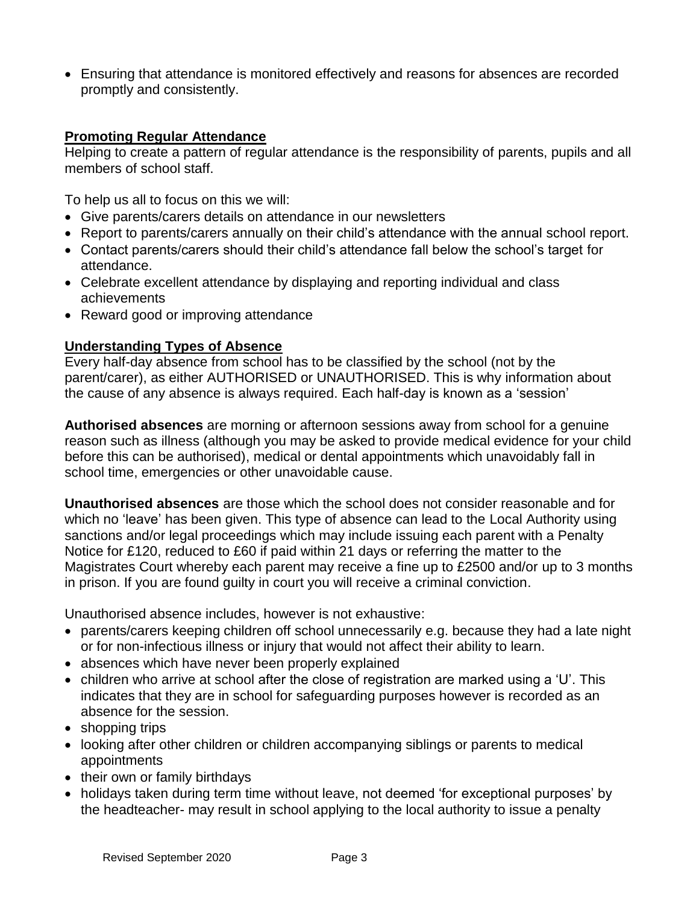• Ensuring that attendance is monitored effectively and reasons for absences are recorded promptly and consistently.

#### **Promoting Regular Attendance**

Helping to create a pattern of regular attendance is the responsibility of parents, pupils and all members of school staff.

To help us all to focus on this we will:

- Give parents/carers details on attendance in our newsletters
- Report to parents/carers annually on their child's attendance with the annual school report.
- Contact parents/carers should their child's attendance fall below the school's target for attendance.
- Celebrate excellent attendance by displaying and reporting individual and class achievements
- Reward good or improving attendance

## **Understanding Types of Absence**

Every half-day absence from school has to be classified by the school (not by the parent/carer), as either AUTHORISED or UNAUTHORISED. This is why information about the cause of any absence is always required. Each half-day is known as a 'session'

**Authorised absences** are morning or afternoon sessions away from school for a genuine reason such as illness (although you may be asked to provide medical evidence for your child before this can be authorised), medical or dental appointments which unavoidably fall in school time, emergencies or other unavoidable cause.

**Unauthorised absences** are those which the school does not consider reasonable and for which no 'leave' has been given. This type of absence can lead to the Local Authority using sanctions and/or legal proceedings which may include issuing each parent with a Penalty Notice for £120, reduced to £60 if paid within 21 days or referring the matter to the Magistrates Court whereby each parent may receive a fine up to £2500 and/or up to 3 months in prison. If you are found guilty in court you will receive a criminal conviction.

Unauthorised absence includes, however is not exhaustive:

- parents/carers keeping children off school unnecessarily e.g. because they had a late night or for non-infectious illness or injury that would not affect their ability to learn.
- absences which have never been properly explained
- children who arrive at school after the close of registration are marked using a 'U'. This indicates that they are in school for safeguarding purposes however is recorded as an absence for the session.
- shopping trips
- looking after other children or children accompanying siblings or parents to medical appointments
- their own or family birthdays
- holidays taken during term time without leave, not deemed 'for exceptional purposes' by the headteacher- may result in school applying to the local authority to issue a penalty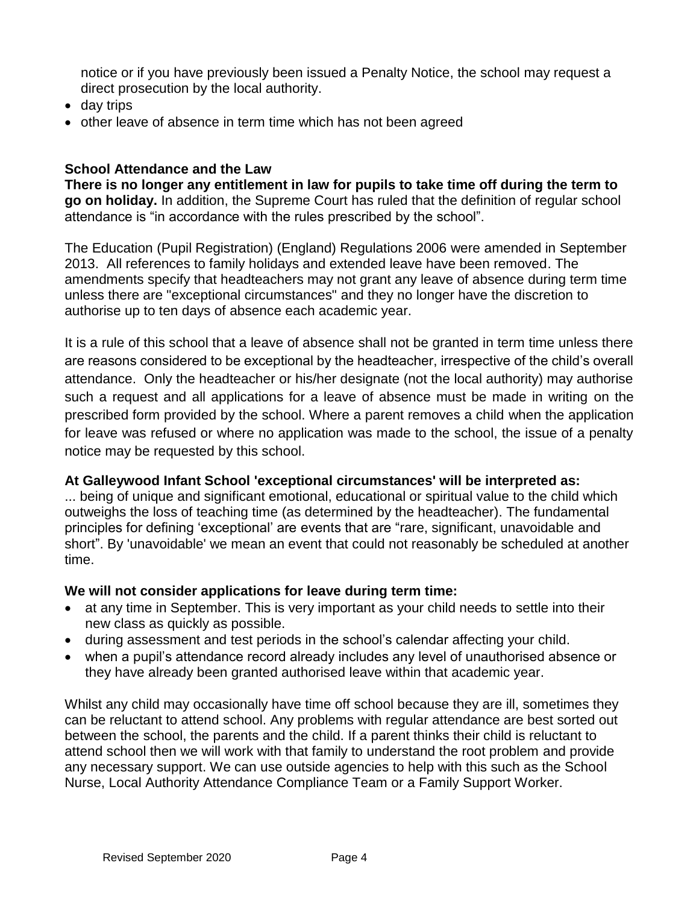notice or if you have previously been issued a Penalty Notice, the school may request a direct prosecution by the local authority.

- day trips
- other leave of absence in term time which has not been agreed

#### **School Attendance and the Law**

**There is no longer any entitlement in law for pupils to take time off during the term to go on holiday.** In addition, the Supreme Court has ruled that the definition of regular school attendance is "in accordance with the rules prescribed by the school".

The Education (Pupil Registration) (England) Regulations 2006 were amended in September 2013. All references to family holidays and extended leave have been removed. The amendments specify that headteachers may not grant any leave of absence during term time unless there are "exceptional circumstances" and they no longer have the discretion to authorise up to ten days of absence each academic year.

It is a rule of this school that a leave of absence shall not be granted in term time unless there are reasons considered to be exceptional by the headteacher, irrespective of the child's overall attendance. Only the headteacher or his/her designate (not the local authority) may authorise such a request and all applications for a leave of absence must be made in writing on the prescribed form provided by the school. Where a parent removes a child when the application for leave was refused or where no application was made to the school, the issue of a penalty notice may be requested by this school.

#### **At Galleywood Infant School 'exceptional circumstances' will be interpreted as:**

... being of unique and significant emotional, educational or spiritual value to the child which outweighs the loss of teaching time (as determined by the headteacher). The fundamental principles for defining 'exceptional' are events that are "rare, significant, unavoidable and short". By 'unavoidable' we mean an event that could not reasonably be scheduled at another time.

#### **We will not consider applications for leave during term time:**

- at any time in September. This is very important as your child needs to settle into their new class as quickly as possible.
- during assessment and test periods in the school's calendar affecting your child.
- when a pupil's attendance record already includes any level of unauthorised absence or they have already been granted authorised leave within that academic year.

Whilst any child may occasionally have time off school because they are ill, sometimes they can be reluctant to attend school. Any problems with regular attendance are best sorted out between the school, the parents and the child. If a parent thinks their child is reluctant to attend school then we will work with that family to understand the root problem and provide any necessary support. We can use outside agencies to help with this such as the School Nurse, Local Authority Attendance Compliance Team or a Family Support Worker.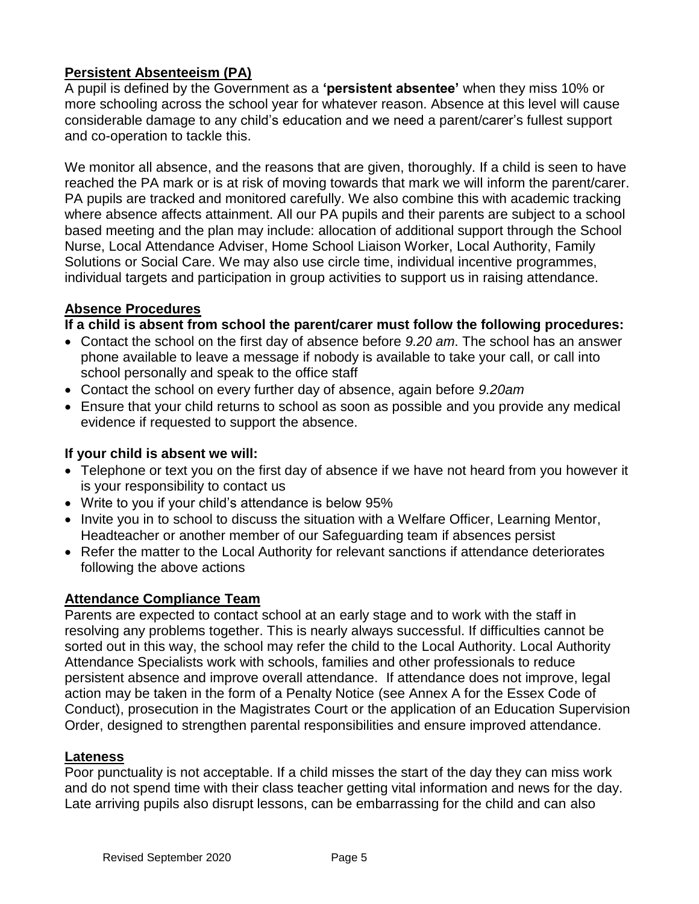## **Persistent Absenteeism (PA)**

A pupil is defined by the Government as a **'persistent absentee'** when they miss 10% or more schooling across the school year for whatever reason. Absence at this level will cause considerable damage to any child's education and we need a parent/carer's fullest support and co-operation to tackle this.

We monitor all absence, and the reasons that are given, thoroughly. If a child is seen to have reached the PA mark or is at risk of moving towards that mark we will inform the parent/carer. PA pupils are tracked and monitored carefully. We also combine this with academic tracking where absence affects attainment. All our PA pupils and their parents are subject to a school based meeting and the plan may include: allocation of additional support through the School Nurse, Local Attendance Adviser, Home School Liaison Worker, Local Authority, Family Solutions or Social Care. We may also use circle time, individual incentive programmes, individual targets and participation in group activities to support us in raising attendance.

## **Absence Procedures**

## **If a child is absent from school the parent/carer must follow the following procedures:**

- Contact the school on the first day of absence before *9.20 am*. The school has an answer phone available to leave a message if nobody is available to take your call, or call into school personally and speak to the office staff
- Contact the school on every further day of absence, again before *9.20am*
- Ensure that your child returns to school as soon as possible and you provide any medical evidence if requested to support the absence.

#### **If your child is absent we will:**

- Telephone or text you on the first day of absence if we have not heard from you however it is your responsibility to contact us
- Write to you if your child's attendance is below 95%
- Invite you in to school to discuss the situation with a Welfare Officer, Learning Mentor, Headteacher or another member of our Safeguarding team if absences persist
- Refer the matter to the Local Authority for relevant sanctions if attendance deteriorates following the above actions

## **Attendance Compliance Team**

Parents are expected to contact school at an early stage and to work with the staff in resolving any problems together. This is nearly always successful. If difficulties cannot be sorted out in this way, the school may refer the child to the Local Authority. Local Authority Attendance Specialists work with schools, families and other professionals to reduce persistent absence and improve overall attendance. If attendance does not improve, legal action may be taken in the form of a Penalty Notice (see Annex A for the Essex Code of Conduct), prosecution in the Magistrates Court or the application of an Education Supervision Order, designed to strengthen parental responsibilities and ensure improved attendance.

#### **Lateness**

Poor punctuality is not acceptable. If a child misses the start of the day they can miss work and do not spend time with their class teacher getting vital information and news for the day. Late arriving pupils also disrupt lessons, can be embarrassing for the child and can also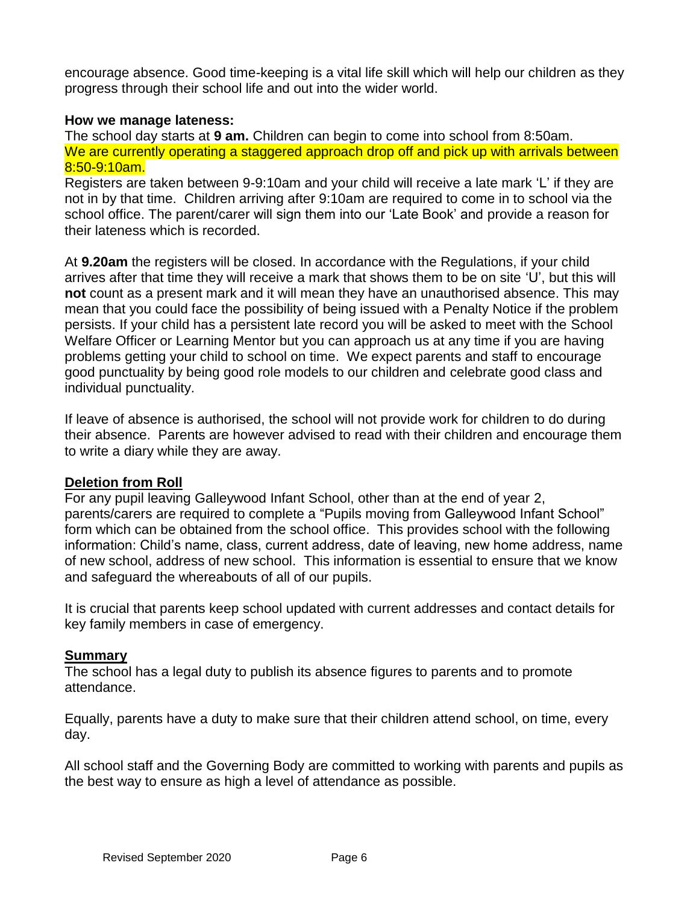encourage absence. Good time-keeping is a vital life skill which will help our children as they progress through their school life and out into the wider world.

#### **How we manage lateness:**

The school day starts at **9 am.** Children can begin to come into school from 8:50am. We are currently operating a staggered approach drop off and pick up with arrivals between 8:50-9:10am.

Registers are taken between 9-9:10am and your child will receive a late mark 'L' if they are not in by that time. Children arriving after 9:10am are required to come in to school via the school office. The parent/carer will sign them into our 'Late Book' and provide a reason for their lateness which is recorded.

At **9.20am** the registers will be closed. In accordance with the Regulations, if your child arrives after that time they will receive a mark that shows them to be on site 'U', but this will **not** count as a present mark and it will mean they have an unauthorised absence. This may mean that you could face the possibility of being issued with a Penalty Notice if the problem persists. If your child has a persistent late record you will be asked to meet with the School Welfare Officer or Learning Mentor but you can approach us at any time if you are having problems getting your child to school on time. We expect parents and staff to encourage good punctuality by being good role models to our children and celebrate good class and individual punctuality.

If leave of absence is authorised, the school will not provide work for children to do during their absence. Parents are however advised to read with their children and encourage them to write a diary while they are away.

#### **Deletion from Roll**

For any pupil leaving Galleywood Infant School, other than at the end of year 2, parents/carers are required to complete a "Pupils moving from Galleywood Infant School" form which can be obtained from the school office. This provides school with the following information: Child's name, class, current address, date of leaving, new home address, name of new school, address of new school. This information is essential to ensure that we know and safeguard the whereabouts of all of our pupils.

It is crucial that parents keep school updated with current addresses and contact details for key family members in case of emergency.

#### **Summary**

The school has a legal duty to publish its absence figures to parents and to promote attendance.

Equally, parents have a duty to make sure that their children attend school, on time, every day.

All school staff and the Governing Body are committed to working with parents and pupils as the best way to ensure as high a level of attendance as possible.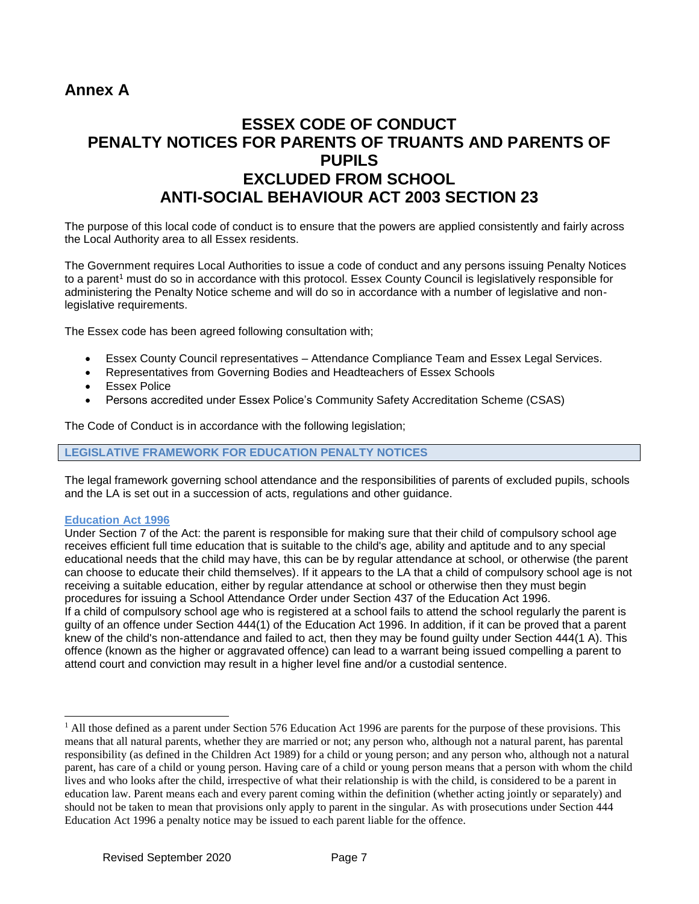## **Annex A**

## **ESSEX CODE OF CONDUCT PENALTY NOTICES FOR PARENTS OF TRUANTS AND PARENTS OF PUPILS EXCLUDED FROM SCHOOL ANTI-SOCIAL BEHAVIOUR ACT 2003 SECTION 23**

The purpose of this local code of conduct is to ensure that the powers are applied consistently and fairly across the Local Authority area to all Essex residents.

The Government requires Local Authorities to issue a code of conduct and any persons issuing Penalty Notices to a parent<sup>1</sup> must do so in accordance with this protocol. Essex County Council is legislatively responsible for administering the Penalty Notice scheme and will do so in accordance with a number of legislative and nonlegislative requirements.

The Essex code has been agreed following consultation with;

- Essex County Council representatives Attendance Compliance Team and Essex Legal Services.
- Representatives from Governing Bodies and Headteachers of Essex Schools
- Essex Police
- Persons accredited under Essex Police's Community Safety Accreditation Scheme (CSAS)

The Code of Conduct is in accordance with the following legislation;

#### **LEGISLATIVE FRAMEWORK FOR EDUCATION PENALTY NOTICES**

The legal framework governing school attendance and the responsibilities of parents of excluded pupils, schools and the LA is set out in a succession of acts, regulations and other guidance.

#### **Education Act 1996**

 $\overline{a}$ 

Under Section 7 of the Act: the parent is responsible for making sure that their child of compulsory school age receives efficient full time education that is suitable to the child's age, ability and aptitude and to any special educational needs that the child may have, this can be by regular attendance at school, or otherwise (the parent can choose to educate their child themselves). If it appears to the LA that a child of compulsory school age is not receiving a suitable education, either by regular attendance at school or otherwise then they must begin procedures for issuing a School Attendance Order under Section 437 of the Education Act 1996. If a child of compulsory school age who is registered at a school fails to attend the school regularly the parent is guilty of an offence under Section 444(1) of the Education Act 1996. In addition, if it can be proved that a parent knew of the child's non-attendance and failed to act, then they may be found guilty under Section 444(1 A). This offence (known as the higher or aggravated offence) can lead to a warrant being issued compelling a parent to attend court and conviction may result in a higher level fine and/or a custodial sentence.

<sup>&</sup>lt;sup>1</sup> All those defined as a parent under Section 576 Education Act 1996 are parents for the purpose of these provisions. This means that all natural parents, whether they are married or not; any person who, although not a natural parent, has parental responsibility (as defined in the Children Act 1989) for a child or young person; and any person who, although not a natural parent, has care of a child or young person. Having care of a child or young person means that a person with whom the child lives and who looks after the child, irrespective of what their relationship is with the child, is considered to be a parent in education law. Parent means each and every parent coming within the definition (whether acting jointly or separately) and should not be taken to mean that provisions only apply to parent in the singular. As with prosecutions under Section 444 Education Act 1996 a penalty notice may be issued to each parent liable for the offence.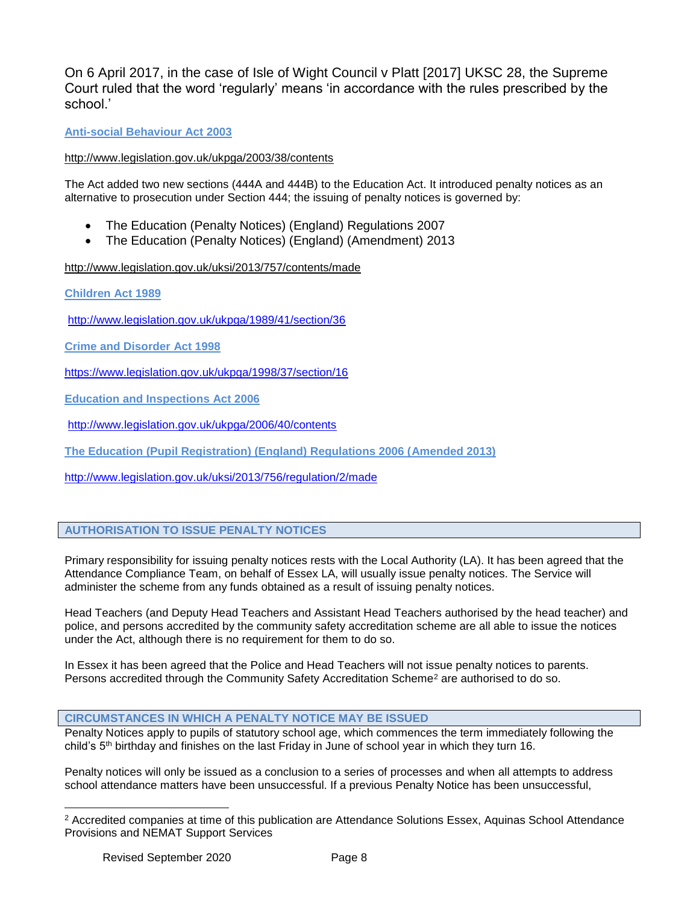On 6 April 2017, in the case of Isle of Wight Council v Platt [2017] UKSC 28, the Supreme Court ruled that the word 'regularly' means 'in accordance with the rules prescribed by the school.'

#### **Anti-social Behaviour Act 2003**

<http://www.legislation.gov.uk/ukpga/2003/38/contents>

The Act added two new sections (444A and 444B) to the Education Act. It introduced penalty notices as an alternative to prosecution under Section 444; the issuing of penalty notices is governed by:

- The Education (Penalty Notices) (England) Regulations 2007
- The Education (Penalty Notices) (England) (Amendment) 2013

<http://www.legislation.gov.uk/uksi/2013/757/contents/made>

**Children Act 1989** 

<http://www.legislation.gov.uk/ukpga/1989/41/section/36>

**Crime and Disorder Act 1998** 

<https://www.legislation.gov.uk/ukpga/1998/37/section/16>

**Education and Inspections Act 2006** 

<http://www.legislation.gov.uk/ukpga/2006/40/contents>

**The Education (Pupil Registration) (England) Regulations 2006 (Amended 2013)**

<http://www.legislation.gov.uk/uksi/2013/756/regulation/2/made>

#### **AUTHORISATION TO ISSUE PENALTY NOTICES**

Primary responsibility for issuing penalty notices rests with the Local Authority (LA). It has been agreed that the Attendance Compliance Team, on behalf of Essex LA, will usually issue penalty notices. The Service will administer the scheme from any funds obtained as a result of issuing penalty notices.

Head Teachers (and Deputy Head Teachers and Assistant Head Teachers authorised by the head teacher) and police, and persons accredited by the community safety accreditation scheme are all able to issue the notices under the Act, although there is no requirement for them to do so.

In Essex it has been agreed that the Police and Head Teachers will not issue penalty notices to parents. Persons accredited through the Community Safety Accreditation Scheme<sup>2</sup> are authorised to do so.

#### **CIRCUMSTANCES IN WHICH A PENALTY NOTICE MAY BE ISSUED**

Penalty Notices apply to pupils of statutory school age, which commences the term immediately following the child's 5<sup>th</sup> birthday and finishes on the last Friday in June of school year in which they turn 16.

Penalty notices will only be issued as a conclusion to a series of processes and when all attempts to address school attendance matters have been unsuccessful. If a previous Penalty Notice has been unsuccessful,

 $\overline{a}$ 

<sup>2</sup> Accredited companies at time of this publication are Attendance Solutions Essex, Aquinas School Attendance Provisions and NEMAT Support Services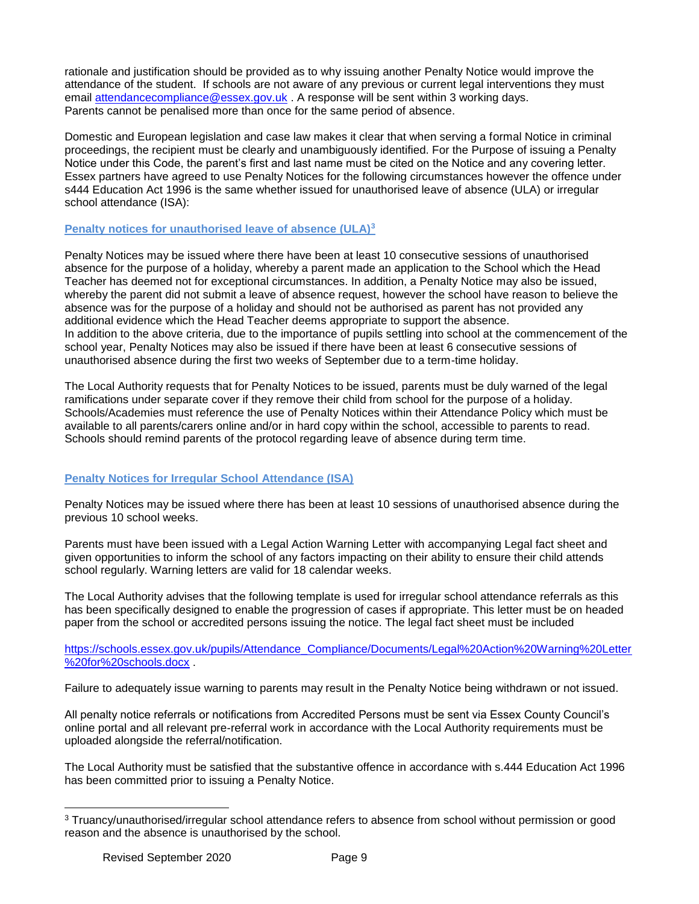rationale and justification should be provided as to why issuing another Penalty Notice would improve the attendance of the student. If schools are not aware of any previous or current legal interventions they must email [attendancecompliance@essex.gov.uk](mailto:attendancecompliance@essex.gov.uk) . A response will be sent within 3 working days. Parents cannot be penalised more than once for the same period of absence.

Domestic and European legislation and case law makes it clear that when serving a formal Notice in criminal proceedings, the recipient must be clearly and unambiguously identified. For the Purpose of issuing a Penalty Notice under this Code, the parent's first and last name must be cited on the Notice and any covering letter. Essex partners have agreed to use Penalty Notices for the following circumstances however the offence under s444 Education Act 1996 is the same whether issued for unauthorised leave of absence (ULA) or irregular school attendance (ISA):

#### **Penalty notices for unauthorised leave of absence (ULA)<sup>3</sup>**

Penalty Notices may be issued where there have been at least 10 consecutive sessions of unauthorised absence for the purpose of a holiday, whereby a parent made an application to the School which the Head Teacher has deemed not for exceptional circumstances. In addition, a Penalty Notice may also be issued, whereby the parent did not submit a leave of absence request, however the school have reason to believe the absence was for the purpose of a holiday and should not be authorised as parent has not provided any additional evidence which the Head Teacher deems appropriate to support the absence. In addition to the above criteria, due to the importance of pupils settling into school at the commencement of the school year, Penalty Notices may also be issued if there have been at least 6 consecutive sessions of unauthorised absence during the first two weeks of September due to a term-time holiday.

The Local Authority requests that for Penalty Notices to be issued, parents must be duly warned of the legal ramifications under separate cover if they remove their child from school for the purpose of a holiday. Schools/Academies must reference the use of Penalty Notices within their Attendance Policy which must be available to all parents/carers online and/or in hard copy within the school, accessible to parents to read. Schools should remind parents of the protocol regarding leave of absence during term time.

#### **Penalty Notices for Irregular School Attendance (ISA)**

Penalty Notices may be issued where there has been at least 10 sessions of unauthorised absence during the previous 10 school weeks.

Parents must have been issued with a Legal Action Warning Letter with accompanying Legal fact sheet and given opportunities to inform the school of any factors impacting on their ability to ensure their child attends school regularly. Warning letters are valid for 18 calendar weeks.

The Local Authority advises that the following template is used for irregular school attendance referrals as this has been specifically designed to enable the progression of cases if appropriate. This letter must be on headed paper from the school or accredited persons issuing the notice. The legal fact sheet must be included

[https://schools.essex.gov.uk/pupils/Attendance\\_Compliance/Documents/Legal%20Action%20Warning%20Letter](https://schools.essex.gov.uk/pupils/Attendance_Compliance/Documents/Legal%20Action%20Warning%20Letter%20for%20schools.docx) [%20for%20schools.docx](https://schools.essex.gov.uk/pupils/Attendance_Compliance/Documents/Legal%20Action%20Warning%20Letter%20for%20schools.docx) .

Failure to adequately issue warning to parents may result in the Penalty Notice being withdrawn or not issued.

All penalty notice referrals or notifications from Accredited Persons must be sent via Essex County Council's online portal and all relevant pre-referral work in accordance with the Local Authority requirements must be uploaded alongside the referral/notification.

The Local Authority must be satisfied that the substantive offence in accordance with s.444 Education Act 1996 has been committed prior to issuing a Penalty Notice.

 $\overline{a}$ 

<sup>3</sup> Truancy/unauthorised/irregular school attendance refers to absence from school without permission or good reason and the absence is unauthorised by the school.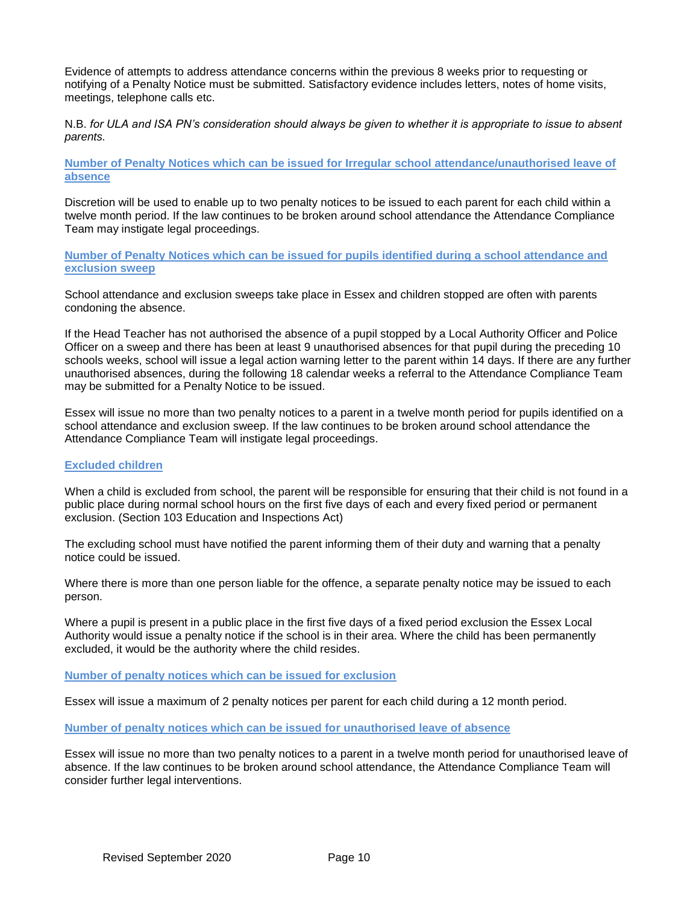Evidence of attempts to address attendance concerns within the previous 8 weeks prior to requesting or notifying of a Penalty Notice must be submitted. Satisfactory evidence includes letters, notes of home visits, meetings, telephone calls etc.

N.B. *for ULA and ISA PN's consideration should always be given to whether it is appropriate to issue to absent parents.*

**Number of Penalty Notices which can be issued for Irregular school attendance/unauthorised leave of absence**

Discretion will be used to enable up to two penalty notices to be issued to each parent for each child within a twelve month period. If the law continues to be broken around school attendance the Attendance Compliance Team may instigate legal proceedings.

**Number of Penalty Notices which can be issued for pupils identified during a school attendance and exclusion sweep** 

School attendance and exclusion sweeps take place in Essex and children stopped are often with parents condoning the absence.

If the Head Teacher has not authorised the absence of a pupil stopped by a Local Authority Officer and Police Officer on a sweep and there has been at least 9 unauthorised absences for that pupil during the preceding 10 schools weeks, school will issue a legal action warning letter to the parent within 14 days. If there are any further unauthorised absences, during the following 18 calendar weeks a referral to the Attendance Compliance Team may be submitted for a Penalty Notice to be issued.

Essex will issue no more than two penalty notices to a parent in a twelve month period for pupils identified on a school attendance and exclusion sweep. If the law continues to be broken around school attendance the Attendance Compliance Team will instigate legal proceedings.

#### **Excluded children**

When a child is excluded from school, the parent will be responsible for ensuring that their child is not found in a public place during normal school hours on the first five days of each and every fixed period or permanent exclusion. (Section 103 Education and Inspections Act)

The excluding school must have notified the parent informing them of their duty and warning that a penalty notice could be issued.

Where there is more than one person liable for the offence, a separate penalty notice may be issued to each person.

Where a pupil is present in a public place in the first five days of a fixed period exclusion the Essex Local Authority would issue a penalty notice if the school is in their area. Where the child has been permanently excluded, it would be the authority where the child resides.

**Number of penalty notices which can be issued for exclusion**

Essex will issue a maximum of 2 penalty notices per parent for each child during a 12 month period.

**Number of penalty notices which can be issued for unauthorised leave of absence** 

Essex will issue no more than two penalty notices to a parent in a twelve month period for unauthorised leave of absence. If the law continues to be broken around school attendance, the Attendance Compliance Team will consider further legal interventions.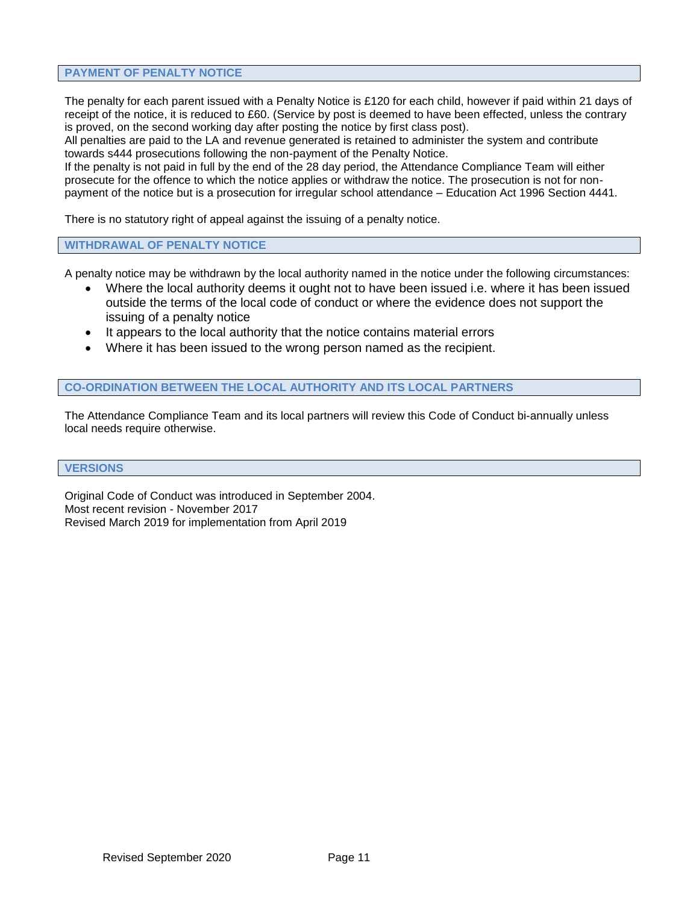#### **PAYMENT OF PENALTY NOTICE**

The penalty for each parent issued with a Penalty Notice is £120 for each child, however if paid within 21 days of receipt of the notice, it is reduced to £60. (Service by post is deemed to have been effected, unless the contrary is proved, on the second working day after posting the notice by first class post).

All penalties are paid to the LA and revenue generated is retained to administer the system and contribute towards s444 prosecutions following the non-payment of the Penalty Notice.

If the penalty is not paid in full by the end of the 28 day period, the Attendance Compliance Team will either prosecute for the offence to which the notice applies or withdraw the notice. The prosecution is not for nonpayment of the notice but is a prosecution for irregular school attendance – Education Act 1996 Section 4441.

There is no statutory right of appeal against the issuing of a penalty notice.

#### **WITHDRAWAL OF PENALTY NOTICE**

A penalty notice may be withdrawn by the local authority named in the notice under the following circumstances:

- Where the local authority deems it ought not to have been issued i.e. where it has been issued outside the terms of the local code of conduct or where the evidence does not support the issuing of a penalty notice
- It appears to the local authority that the notice contains material errors
- Where it has been issued to the wrong person named as the recipient.

#### **CO-ORDINATION BETWEEN THE LOCAL AUTHORITY AND ITS LOCAL PARTNERS**

The Attendance Compliance Team and its local partners will review this Code of Conduct bi-annually unless local needs require otherwise.

#### **VERSIONS**

Original Code of Conduct was introduced in September 2004. Most recent revision - November 2017 Revised March 2019 for implementation from April 2019